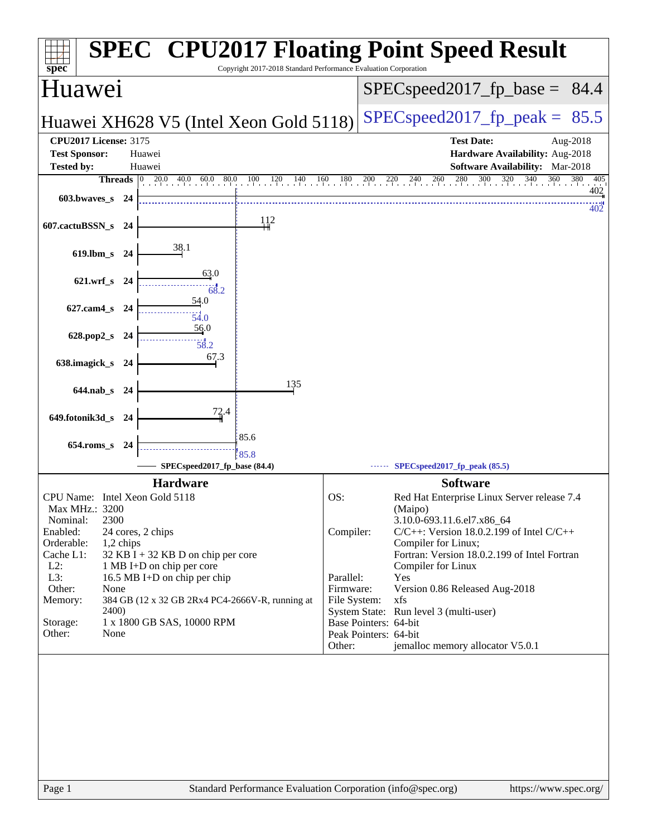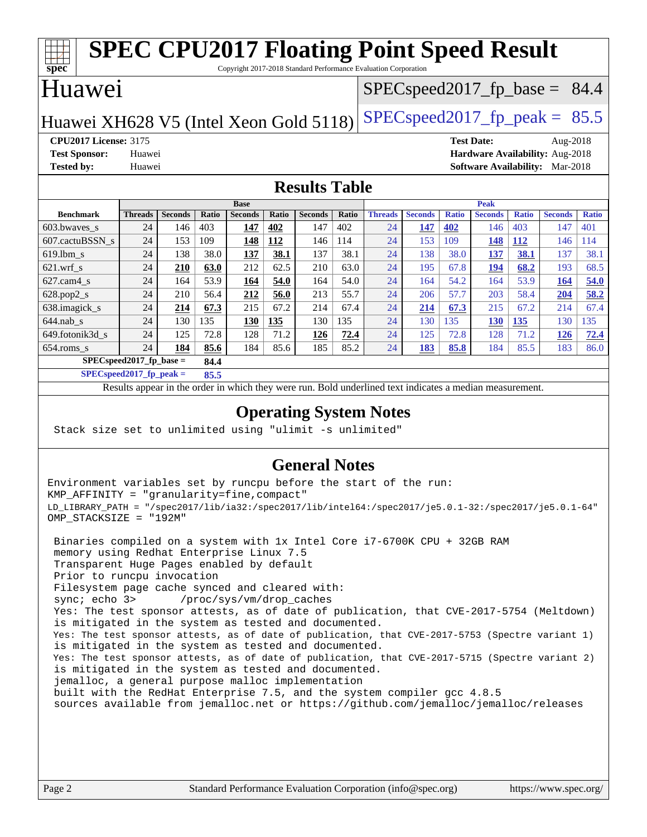### **[spec](http://www.spec.org/) [SPEC CPU2017 Floating Point Speed Result](http://www.spec.org/auto/cpu2017/Docs/result-fields.html#SPECCPU2017FloatingPointSpeedResult)** Copyright 2017-2018 Standard Performance Evaluation Corporation Huawei Huawei XH628 V5 (Intel Xeon Gold 5118) SPECspeed 2017 fp peak =  $85.5$  $SPECspeed2017_fp\_base = 84.4$ **[CPU2017 License:](http://www.spec.org/auto/cpu2017/Docs/result-fields.html#CPU2017License)** 3175 **[Test Date:](http://www.spec.org/auto/cpu2017/Docs/result-fields.html#TestDate)** Aug-2018 **[Test Sponsor:](http://www.spec.org/auto/cpu2017/Docs/result-fields.html#TestSponsor)** Huawei **[Hardware Availability:](http://www.spec.org/auto/cpu2017/Docs/result-fields.html#HardwareAvailability)** Aug-2018 **[Tested by:](http://www.spec.org/auto/cpu2017/Docs/result-fields.html#Testedby)** Huawei **[Software Availability:](http://www.spec.org/auto/cpu2017/Docs/result-fields.html#SoftwareAvailability)** Mar-2018 **[Results Table](http://www.spec.org/auto/cpu2017/Docs/result-fields.html#ResultsTable) [Benchmark](http://www.spec.org/auto/cpu2017/Docs/result-fields.html#Benchmark) [Threads](http://www.spec.org/auto/cpu2017/Docs/result-fields.html#Threads) [Seconds](http://www.spec.org/auto/cpu2017/Docs/result-fields.html#Seconds) [Ratio](http://www.spec.org/auto/cpu2017/Docs/result-fields.html#Ratio) [Seconds](http://www.spec.org/auto/cpu2017/Docs/result-fields.html#Seconds) [Ratio](http://www.spec.org/auto/cpu2017/Docs/result-fields.html#Ratio) [Seconds](http://www.spec.org/auto/cpu2017/Docs/result-fields.html#Seconds) [Ratio](http://www.spec.org/auto/cpu2017/Docs/result-fields.html#Ratio) Base [Threads](http://www.spec.org/auto/cpu2017/Docs/result-fields.html#Threads) [Seconds](http://www.spec.org/auto/cpu2017/Docs/result-fields.html#Seconds) [Ratio](http://www.spec.org/auto/cpu2017/Docs/result-fields.html#Ratio) [Seconds](http://www.spec.org/auto/cpu2017/Docs/result-fields.html#Seconds) [Ratio](http://www.spec.org/auto/cpu2017/Docs/result-fields.html#Ratio) [Seconds](http://www.spec.org/auto/cpu2017/Docs/result-fields.html#Seconds) [Ratio](http://www.spec.org/auto/cpu2017/Docs/result-fields.html#Ratio) Peak** [603.bwaves\\_s](http://www.spec.org/auto/cpu2017/Docs/benchmarks/603.bwaves_s.html) 24 146 403 **[147](http://www.spec.org/auto/cpu2017/Docs/result-fields.html#Median) [402](http://www.spec.org/auto/cpu2017/Docs/result-fields.html#Median)** 147 402 24 **[147](http://www.spec.org/auto/cpu2017/Docs/result-fields.html#Median) [402](http://www.spec.org/auto/cpu2017/Docs/result-fields.html#Median)** 146 403 147 401 [607.cactuBSSN\\_s](http://www.spec.org/auto/cpu2017/Docs/benchmarks/607.cactuBSSN_s.html) 24 153 109 **[148](http://www.spec.org/auto/cpu2017/Docs/result-fields.html#Median) [112](http://www.spec.org/auto/cpu2017/Docs/result-fields.html#Median)** 146 114 24 153 109 **[148](http://www.spec.org/auto/cpu2017/Docs/result-fields.html#Median) [112](http://www.spec.org/auto/cpu2017/Docs/result-fields.html#Median)** 146 114 [619.lbm\\_s](http://www.spec.org/auto/cpu2017/Docs/benchmarks/619.lbm_s.html) 24 138 38.0 **[137](http://www.spec.org/auto/cpu2017/Docs/result-fields.html#Median) [38.1](http://www.spec.org/auto/cpu2017/Docs/result-fields.html#Median)** 137 38.1 24 138 38.0 **[137](http://www.spec.org/auto/cpu2017/Docs/result-fields.html#Median) [38.1](http://www.spec.org/auto/cpu2017/Docs/result-fields.html#Median)** 137 38.1 [621.wrf\\_s](http://www.spec.org/auto/cpu2017/Docs/benchmarks/621.wrf_s.html) 24 **[210](http://www.spec.org/auto/cpu2017/Docs/result-fields.html#Median) [63.0](http://www.spec.org/auto/cpu2017/Docs/result-fields.html#Median)** 212 62.5 210 63.0 24 195 67.8 **[194](http://www.spec.org/auto/cpu2017/Docs/result-fields.html#Median) [68.2](http://www.spec.org/auto/cpu2017/Docs/result-fields.html#Median)** 193 68.5 [627.cam4\\_s](http://www.spec.org/auto/cpu2017/Docs/benchmarks/627.cam4_s.html) 24 164 53.9 **[164](http://www.spec.org/auto/cpu2017/Docs/result-fields.html#Median) [54.0](http://www.spec.org/auto/cpu2017/Docs/result-fields.html#Median)** 164 54.0 24 164 54.2 164 53.9 **[164](http://www.spec.org/auto/cpu2017/Docs/result-fields.html#Median) [54.0](http://www.spec.org/auto/cpu2017/Docs/result-fields.html#Median)** [628.pop2\\_s](http://www.spec.org/auto/cpu2017/Docs/benchmarks/628.pop2_s.html) 24 210 56.4 **[212](http://www.spec.org/auto/cpu2017/Docs/result-fields.html#Median) [56.0](http://www.spec.org/auto/cpu2017/Docs/result-fields.html#Median)** 213 55.7 24 206 57.7 203 58.4 **[204](http://www.spec.org/auto/cpu2017/Docs/result-fields.html#Median) [58.2](http://www.spec.org/auto/cpu2017/Docs/result-fields.html#Median)** [638.imagick\\_s](http://www.spec.org/auto/cpu2017/Docs/benchmarks/638.imagick_s.html) 24 **[214](http://www.spec.org/auto/cpu2017/Docs/result-fields.html#Median) [67.3](http://www.spec.org/auto/cpu2017/Docs/result-fields.html#Median)** 215 67.2 214 67.4 24 **[214](http://www.spec.org/auto/cpu2017/Docs/result-fields.html#Median) [67.3](http://www.spec.org/auto/cpu2017/Docs/result-fields.html#Median)** 215 67.2 214 67.4 [644.nab\\_s](http://www.spec.org/auto/cpu2017/Docs/benchmarks/644.nab_s.html) 24 130 135 **[130](http://www.spec.org/auto/cpu2017/Docs/result-fields.html#Median) [135](http://www.spec.org/auto/cpu2017/Docs/result-fields.html#Median)** 130 135 24 130 135 **[130](http://www.spec.org/auto/cpu2017/Docs/result-fields.html#Median) [135](http://www.spec.org/auto/cpu2017/Docs/result-fields.html#Median)** 130 135 [649.fotonik3d\\_s](http://www.spec.org/auto/cpu2017/Docs/benchmarks/649.fotonik3d_s.html) 24 125 72.8 128 71.2 **[126](http://www.spec.org/auto/cpu2017/Docs/result-fields.html#Median) [72.4](http://www.spec.org/auto/cpu2017/Docs/result-fields.html#Median)** 24 125 72.8 128 71.2 **[126](http://www.spec.org/auto/cpu2017/Docs/result-fields.html#Median) [72.4](http://www.spec.org/auto/cpu2017/Docs/result-fields.html#Median)** [654.roms\\_s](http://www.spec.org/auto/cpu2017/Docs/benchmarks/654.roms_s.html) 24 **[184](http://www.spec.org/auto/cpu2017/Docs/result-fields.html#Median) [85.6](http://www.spec.org/auto/cpu2017/Docs/result-fields.html#Median)** 184 85.6 185 85.2 24 **[183](http://www.spec.org/auto/cpu2017/Docs/result-fields.html#Median) [85.8](http://www.spec.org/auto/cpu2017/Docs/result-fields.html#Median)** 184 85.5 183 86.0 **[SPECspeed2017\\_fp\\_base =](http://www.spec.org/auto/cpu2017/Docs/result-fields.html#SPECspeed2017fpbase) 84.4 [SPECspeed2017\\_fp\\_peak =](http://www.spec.org/auto/cpu2017/Docs/result-fields.html#SPECspeed2017fppeak) 85.5**

Results appear in the [order in which they were run.](http://www.spec.org/auto/cpu2017/Docs/result-fields.html#RunOrder) Bold underlined text [indicates a median measurement](http://www.spec.org/auto/cpu2017/Docs/result-fields.html#Median).

### **[Operating System Notes](http://www.spec.org/auto/cpu2017/Docs/result-fields.html#OperatingSystemNotes)**

Stack size set to unlimited using "ulimit -s unlimited"

### **[General Notes](http://www.spec.org/auto/cpu2017/Docs/result-fields.html#GeneralNotes)**

Environment variables set by runcpu before the start of the run: KMP\_AFFINITY = "granularity=fine,compact" LD\_LIBRARY\_PATH = "/spec2017/lib/ia32:/spec2017/lib/intel64:/spec2017/je5.0.1-32:/spec2017/je5.0.1-64" OMP\_STACKSIZE = "192M"

 Binaries compiled on a system with 1x Intel Core i7-6700K CPU + 32GB RAM memory using Redhat Enterprise Linux 7.5 Transparent Huge Pages enabled by default Prior to runcpu invocation Filesystem page cache synced and cleared with: sync; echo 3> /proc/sys/vm/drop\_caches Yes: The test sponsor attests, as of date of publication, that CVE-2017-5754 (Meltdown) is mitigated in the system as tested and documented. Yes: The test sponsor attests, as of date of publication, that CVE-2017-5753 (Spectre variant 1) is mitigated in the system as tested and documented. Yes: The test sponsor attests, as of date of publication, that CVE-2017-5715 (Spectre variant 2) is mitigated in the system as tested and documented. jemalloc, a general purpose malloc implementation built with the RedHat Enterprise 7.5, and the system compiler gcc 4.8.5 sources available from jemalloc.net or <https://github.com/jemalloc/jemalloc/releases>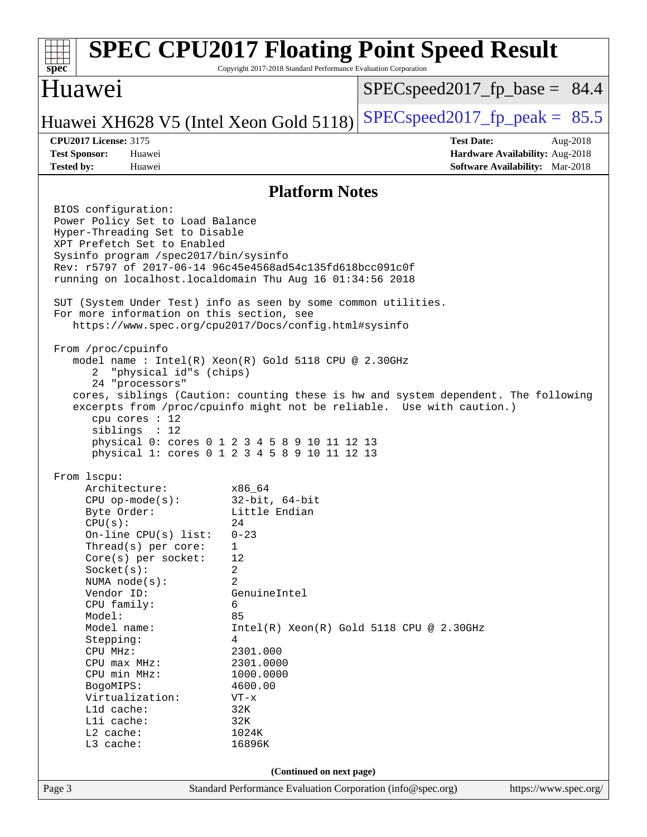### Page 3 Standard Performance Evaluation Corporation [\(info@spec.org\)](mailto:info@spec.org) <https://www.spec.org/> **[spec](http://www.spec.org/) [SPEC CPU2017 Floating Point Speed Result](http://www.spec.org/auto/cpu2017/Docs/result-fields.html#SPECCPU2017FloatingPointSpeedResult)** Copyright 2017-2018 Standard Performance Evaluation Corporation Huawei Huawei XH628 V5 (Intel Xeon Gold 5118) SPECspeed 2017 fp peak =  $85.5$  $SPECspeed2017_fp\_base = 84.4$ **[CPU2017 License:](http://www.spec.org/auto/cpu2017/Docs/result-fields.html#CPU2017License)** 3175 **[Test Date:](http://www.spec.org/auto/cpu2017/Docs/result-fields.html#TestDate)** Aug-2018 **[Test Sponsor:](http://www.spec.org/auto/cpu2017/Docs/result-fields.html#TestSponsor)** Huawei **[Hardware Availability:](http://www.spec.org/auto/cpu2017/Docs/result-fields.html#HardwareAvailability)** Aug-2018 **[Tested by:](http://www.spec.org/auto/cpu2017/Docs/result-fields.html#Testedby)** Huawei **[Software Availability:](http://www.spec.org/auto/cpu2017/Docs/result-fields.html#SoftwareAvailability)** Mar-2018 **[Platform Notes](http://www.spec.org/auto/cpu2017/Docs/result-fields.html#PlatformNotes)** BIOS configuration: Power Policy Set to Load Balance Hyper-Threading Set to Disable XPT Prefetch Set to Enabled Sysinfo program /spec2017/bin/sysinfo Rev: r5797 of 2017-06-14 96c45e4568ad54c135fd618bcc091c0f running on localhost.localdomain Thu Aug 16 01:34:56 2018 SUT (System Under Test) info as seen by some common utilities. For more information on this section, see <https://www.spec.org/cpu2017/Docs/config.html#sysinfo> From /proc/cpuinfo model name : Intel(R) Xeon(R) Gold 5118 CPU @ 2.30GHz 2 "physical id"s (chips) 24 "processors" cores, siblings (Caution: counting these is hw and system dependent. The following excerpts from /proc/cpuinfo might not be reliable. Use with caution.) cpu cores : 12 siblings : 12 physical 0: cores 0 1 2 3 4 5 8 9 10 11 12 13 physical 1: cores 0 1 2 3 4 5 8 9 10 11 12 13 From lscpu: Architecture: x86\_64 CPU op-mode(s): 32-bit, 64-bit Byte Order: Little Endian  $CPU(s):$  24 On-line CPU(s) list: 0-23 Thread(s) per core: 1 Core(s) per socket: 12 Socket(s): 2 NUMA node(s): 2 Vendor ID: GenuineIntel CPU family: 6 Model: 85 Model name:  $Intel(R)$  Xeon(R) Gold 5118 CPU @ 2.30GHz Stepping: 4 CPU MHz: 2301.000 CPU max MHz: 2301.0000 CPU min MHz: 1000.0000 BogoMIPS: 4600.00 Virtualization: VT-x L1d cache: 32K<br>
L1i cache: 32K  $L1i$  cache: L2 cache: 1024K L3 cache: 16896K **(Continued on next page)**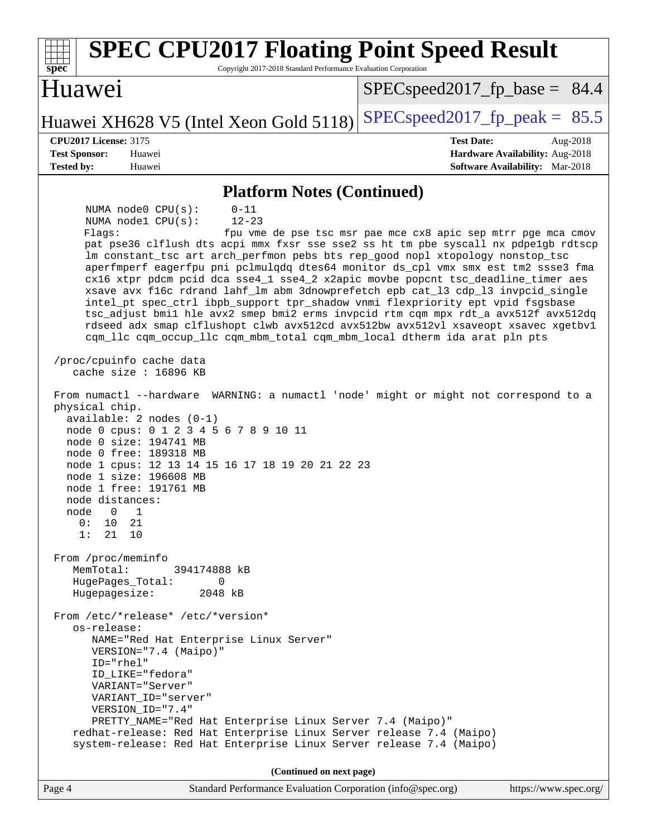| <b>SPEC CPU2017 Floating Point Speed Result</b><br>Copyright 2017-2018 Standard Performance Evaluation Corporation<br>$spec^*$                                                                                                                                                                                                                                                                                                                                                                                                                                                                                                                                                                                                                                                                                                                                                                                                                                                                                                                                                                                                                                                                                                                                                                                                                                                                                                                                                                            |                                                                           |  |
|-----------------------------------------------------------------------------------------------------------------------------------------------------------------------------------------------------------------------------------------------------------------------------------------------------------------------------------------------------------------------------------------------------------------------------------------------------------------------------------------------------------------------------------------------------------------------------------------------------------------------------------------------------------------------------------------------------------------------------------------------------------------------------------------------------------------------------------------------------------------------------------------------------------------------------------------------------------------------------------------------------------------------------------------------------------------------------------------------------------------------------------------------------------------------------------------------------------------------------------------------------------------------------------------------------------------------------------------------------------------------------------------------------------------------------------------------------------------------------------------------------------|---------------------------------------------------------------------------|--|
| Huawei                                                                                                                                                                                                                                                                                                                                                                                                                                                                                                                                                                                                                                                                                                                                                                                                                                                                                                                                                                                                                                                                                                                                                                                                                                                                                                                                                                                                                                                                                                    | $SPEC speed2017_f p\_base = 84.4$                                         |  |
| Huawei XH628 V5 (Intel Xeon Gold 5118)                                                                                                                                                                                                                                                                                                                                                                                                                                                                                                                                                                                                                                                                                                                                                                                                                                                                                                                                                                                                                                                                                                                                                                                                                                                                                                                                                                                                                                                                    | $SPEC speed2017_fp\_peak = 85.5$                                          |  |
| <b>CPU2017 License: 3175</b>                                                                                                                                                                                                                                                                                                                                                                                                                                                                                                                                                                                                                                                                                                                                                                                                                                                                                                                                                                                                                                                                                                                                                                                                                                                                                                                                                                                                                                                                              | <b>Test Date:</b><br>Aug-2018                                             |  |
| <b>Test Sponsor:</b><br>Huawei<br><b>Tested by:</b><br>Huawei                                                                                                                                                                                                                                                                                                                                                                                                                                                                                                                                                                                                                                                                                                                                                                                                                                                                                                                                                                                                                                                                                                                                                                                                                                                                                                                                                                                                                                             | Hardware Availability: Aug-2018<br><b>Software Availability:</b> Mar-2018 |  |
|                                                                                                                                                                                                                                                                                                                                                                                                                                                                                                                                                                                                                                                                                                                                                                                                                                                                                                                                                                                                                                                                                                                                                                                                                                                                                                                                                                                                                                                                                                           |                                                                           |  |
| <b>Platform Notes (Continued)</b>                                                                                                                                                                                                                                                                                                                                                                                                                                                                                                                                                                                                                                                                                                                                                                                                                                                                                                                                                                                                                                                                                                                                                                                                                                                                                                                                                                                                                                                                         |                                                                           |  |
| NUMA node0 CPU(s):<br>$0 - 11$<br>NUMA nodel CPU(s):<br>$12 - 23$<br>Flaqs:<br>fpu vme de pse tsc msr pae mce cx8 apic sep mtrr pge mca cmov<br>pat pse36 clflush dts acpi mmx fxsr sse sse2 ss ht tm pbe syscall nx pdpelgb rdtscp<br>lm constant_tsc art arch_perfmon pebs bts rep_good nopl xtopology nonstop_tsc<br>aperfmperf eagerfpu pni pclmulqdq dtes64 monitor ds_cpl vmx smx est tm2 ssse3 fma<br>cx16 xtpr pdcm pcid dca sse4_1 sse4_2 x2apic movbe popcnt tsc_deadline_timer aes<br>xsave avx f16c rdrand lahf_lm abm 3dnowprefetch epb cat_13 cdp_13 invpcid_single<br>intel_pt spec_ctrl ibpb_support tpr_shadow vnmi flexpriority ept vpid fsgsbase<br>tsc_adjust bmil hle avx2 smep bmi2 erms invpcid rtm cqm mpx rdt_a avx512f avx512dq<br>rdseed adx smap clflushopt clwb avx512cd avx512bw avx512vl xsaveopt xsavec xgetbvl<br>cqm_llc cqm_occup_llc cqm_mbm_total cqm_mbm_local dtherm ida arat pln pts<br>/proc/cpuinfo cache data<br>cache size : 16896 KB<br>From numactl --hardware WARNING: a numactl 'node' might or might not correspond to a<br>physical chip.<br>$available: 2 nodes (0-1)$<br>node 0 cpus: 0 1 2 3 4 5 6 7 8 9 10 11<br>node 0 size: 194741 MB<br>node 0 free: 189318 MB<br>node 1 cpus: 12 13 14 15 16 17 18 19 20 21 22 23<br>node 1 size: 196608 MB<br>node 1 free: 191761 MB<br>node distances:<br>node<br>$\overline{0}$<br>$\mathbf{1}$<br>0:<br>10 21<br>21<br>1:<br>10<br>From /proc/meminfo<br>MemTotal:<br>394174888 kB<br>HugePages Total:<br>0 |                                                                           |  |
| Hugepagesize:<br>2048 kB                                                                                                                                                                                                                                                                                                                                                                                                                                                                                                                                                                                                                                                                                                                                                                                                                                                                                                                                                                                                                                                                                                                                                                                                                                                                                                                                                                                                                                                                                  |                                                                           |  |
| From /etc/*release* /etc/*version*<br>os-release:<br>NAME="Red Hat Enterprise Linux Server"<br>VERSION="7.4 (Maipo)"<br>ID="rhel"<br>ID_LIKE="fedora"<br>VARIANT="Server"<br>VARIANT ID="server"<br>VERSION_ID="7.4"<br>PRETTY_NAME="Red Hat Enterprise Linux Server 7.4 (Maipo)"<br>redhat-release: Red Hat Enterprise Linux Server release 7.4 (Maipo)<br>system-release: Red Hat Enterprise Linux Server release 7.4 (Maipo)                                                                                                                                                                                                                                                                                                                                                                                                                                                                                                                                                                                                                                                                                                                                                                                                                                                                                                                                                                                                                                                                           |                                                                           |  |
| (Continued on next page)                                                                                                                                                                                                                                                                                                                                                                                                                                                                                                                                                                                                                                                                                                                                                                                                                                                                                                                                                                                                                                                                                                                                                                                                                                                                                                                                                                                                                                                                                  |                                                                           |  |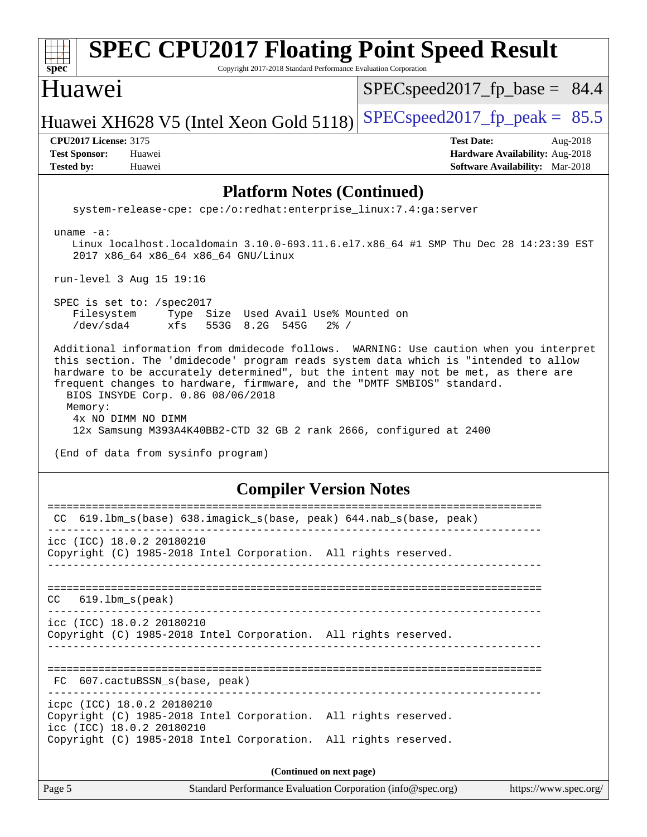| <b>SPEC CPU2017 Floating Point Speed Result</b><br>spec <sup>®</sup><br>Copyright 2017-2018 Standard Performance Evaluation Corporation                                                                                                                                                                                                                                                                                                                                                                                          |                                                                                                            |  |
|----------------------------------------------------------------------------------------------------------------------------------------------------------------------------------------------------------------------------------------------------------------------------------------------------------------------------------------------------------------------------------------------------------------------------------------------------------------------------------------------------------------------------------|------------------------------------------------------------------------------------------------------------|--|
| Huawei                                                                                                                                                                                                                                                                                                                                                                                                                                                                                                                           | $SPEC speed2017_fp\_base = 84.4$                                                                           |  |
| Huawei XH628 V5 (Intel Xeon Gold 5118)                                                                                                                                                                                                                                                                                                                                                                                                                                                                                           | $SPEC speed2017fp peak = 85.5$                                                                             |  |
| <b>CPU2017 License: 3175</b><br><b>Test Sponsor:</b><br>Huawei<br><b>Tested by:</b><br>Huawei                                                                                                                                                                                                                                                                                                                                                                                                                                    | <b>Test Date:</b><br>Aug-2018<br>Hardware Availability: Aug-2018<br><b>Software Availability:</b> Mar-2018 |  |
| <b>Platform Notes (Continued)</b>                                                                                                                                                                                                                                                                                                                                                                                                                                                                                                |                                                                                                            |  |
| system-release-cpe: cpe:/o:redhat:enterprise_linux:7.4:ga:server                                                                                                                                                                                                                                                                                                                                                                                                                                                                 |                                                                                                            |  |
| uname $-a$ :<br>Linux localhost.localdomain 3.10.0-693.11.6.el7.x86_64 #1 SMP Thu Dec 28 14:23:39 EST<br>2017 x86_64 x86_64 x86_64 GNU/Linux                                                                                                                                                                                                                                                                                                                                                                                     |                                                                                                            |  |
| run-level 3 Aug 15 19:16                                                                                                                                                                                                                                                                                                                                                                                                                                                                                                         |                                                                                                            |  |
| SPEC is set to: /spec2017<br>Filesystem<br>Type Size Used Avail Use% Mounted on<br>/dev/sda4<br>xfs<br>553G 8.2G 545G<br>$2\frac{8}{1}$ /                                                                                                                                                                                                                                                                                                                                                                                        |                                                                                                            |  |
| Additional information from dmidecode follows. WARNING: Use caution when you interpret<br>this section. The 'dmidecode' program reads system data which is "intended to allow<br>hardware to be accurately determined", but the intent may not be met, as there are<br>frequent changes to hardware, firmware, and the "DMTF SMBIOS" standard.<br>BIOS INSYDE Corp. 0.86 08/06/2018<br>Memory:<br>4x NO DIMM NO DIMM<br>12x Samsung M393A4K40BB2-CTD 32 GB 2 rank 2666, configured at 2400<br>(End of data from sysinfo program) |                                                                                                            |  |
| <b>Compiler Version Notes</b>                                                                                                                                                                                                                                                                                                                                                                                                                                                                                                    |                                                                                                            |  |
| :================                                                                                                                                                                                                                                                                                                                                                                                                                                                                                                                | ====================<br>CC 619.1bm_s(base) 638.imagick_s(base, peak) 644.nab_s(base, peak)                 |  |
| icc (ICC) 18.0.2 20180210<br>Copyright (C) 1985-2018 Intel Corporation. All rights reserved.                                                                                                                                                                                                                                                                                                                                                                                                                                     |                                                                                                            |  |
| $619.1$ bm_s(peak)<br>CC.                                                                                                                                                                                                                                                                                                                                                                                                                                                                                                        |                                                                                                            |  |
| icc (ICC) 18.0.2 20180210<br>Copyright (C) 1985-2018 Intel Corporation. All rights reserved.                                                                                                                                                                                                                                                                                                                                                                                                                                     |                                                                                                            |  |
| FC 607.cactuBSSN_s(base, peak)                                                                                                                                                                                                                                                                                                                                                                                                                                                                                                   |                                                                                                            |  |
| icpc (ICC) 18.0.2 20180210<br>Copyright (C) 1985-2018 Intel Corporation. All rights reserved.<br>icc (ICC) 18.0.2 20180210<br>Copyright (C) 1985-2018 Intel Corporation. All rights reserved.                                                                                                                                                                                                                                                                                                                                    |                                                                                                            |  |
|                                                                                                                                                                                                                                                                                                                                                                                                                                                                                                                                  |                                                                                                            |  |
| (Continued on next page)<br>Standard Performance Evaluation Corporation (info@spec.org)<br>Page 5                                                                                                                                                                                                                                                                                                                                                                                                                                | https://www.spec.org/                                                                                      |  |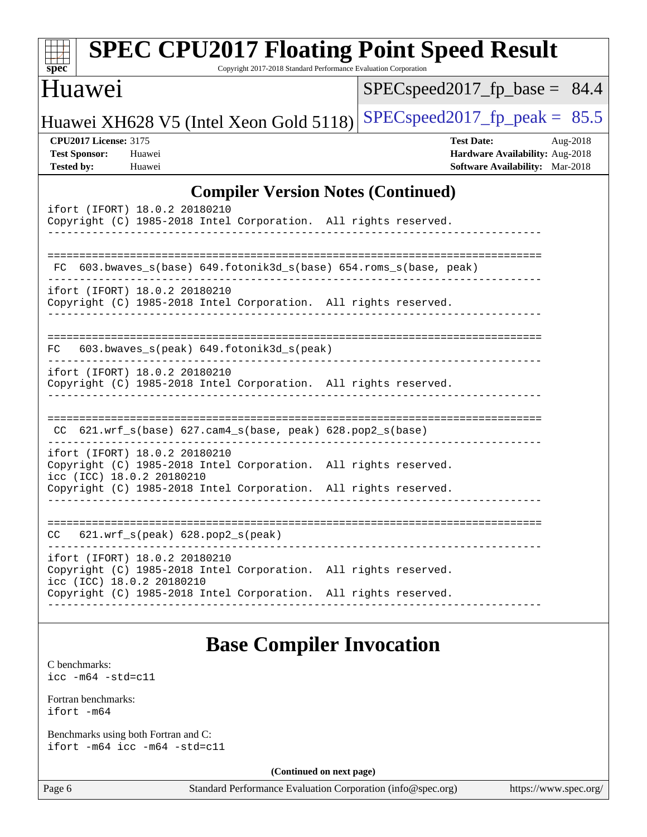| <b>SPEC CPU2017 Floating Point Speed Result</b><br>Copyright 2017-2018 Standard Performance Evaluation Corporation<br>$spec^*$                                                                   |                                                                                                     |  |
|--------------------------------------------------------------------------------------------------------------------------------------------------------------------------------------------------|-----------------------------------------------------------------------------------------------------|--|
| <b>Huawei</b>                                                                                                                                                                                    | $SPEC speed2017_fp\_base = 84.4$                                                                    |  |
| Huawei XH628 V5 (Intel Xeon Gold 5118)                                                                                                                                                           | $SPEC speed2017fp peak = 85.5$                                                                      |  |
| <b>CPU2017 License: 3175</b><br><b>Test Sponsor:</b><br>Huawei<br><b>Tested by:</b><br>Huawei                                                                                                    | <b>Test Date:</b><br>Aug-2018<br>Hardware Availability: Aug-2018<br>Software Availability: Mar-2018 |  |
| <b>Compiler Version Notes (Continued)</b>                                                                                                                                                        |                                                                                                     |  |
| ifort (IFORT) 18.0.2 20180210<br>Copyright (C) 1985-2018 Intel Corporation. All rights reserved.                                                                                                 |                                                                                                     |  |
| FC 603.bwaves_s(base) 649.fotonik3d_s(base) 654.roms_s(base, peak)                                                                                                                               |                                                                                                     |  |
| ifort (IFORT) 18.0.2 20180210<br>Copyright (C) 1985-2018 Intel Corporation. All rights reserved.                                                                                                 |                                                                                                     |  |
| 603.bwaves_s(peak) 649.fotonik3d_s(peak)<br>FC.                                                                                                                                                  |                                                                                                     |  |
| ifort (IFORT) 18.0.2 20180210<br>Copyright (C) 1985-2018 Intel Corporation. All rights reserved.                                                                                                 |                                                                                                     |  |
| $CC$ 621.wrf_s(base) 627.cam4_s(base, peak) 628.pop2_s(base)                                                                                                                                     |                                                                                                     |  |
| ifort (IFORT) 18.0.2 20180210<br>Copyright (C) 1985-2018 Intel Corporation. All rights reserved.<br>icc (ICC) 18.0.2 20180210<br>Copyright (C) 1985-2018 Intel Corporation. All rights reserved. |                                                                                                     |  |
|                                                                                                                                                                                                  |                                                                                                     |  |
| $621.wrf_s(peak)$ $628.pop2_s(peak)$<br>CC                                                                                                                                                       |                                                                                                     |  |
| ifort (IFORT) 18.0.2 20180210<br>Copyright (C) 1985-2018 Intel Corporation. All rights reserved.<br>icc (ICC) 18.0.2 20180210                                                                    |                                                                                                     |  |
| Copyright (C) 1985-2018 Intel Corporation. All rights reserved.                                                                                                                                  |                                                                                                     |  |
| <b>Base Compiler Invocation</b>                                                                                                                                                                  |                                                                                                     |  |
| C benchmarks:<br>$\text{icc}$ -m64 -std=c11                                                                                                                                                      |                                                                                                     |  |
| Fortran benchmarks:<br>ifort -m64                                                                                                                                                                |                                                                                                     |  |
| Benchmarks using both Fortran and C:<br>ifort -m64 icc -m64 -std=c11                                                                                                                             |                                                                                                     |  |
| (Continued on next page)                                                                                                                                                                         |                                                                                                     |  |
| Page 6<br>Standard Performance Evaluation Corporation (info@spec.org)                                                                                                                            | https://www.spec.org/                                                                               |  |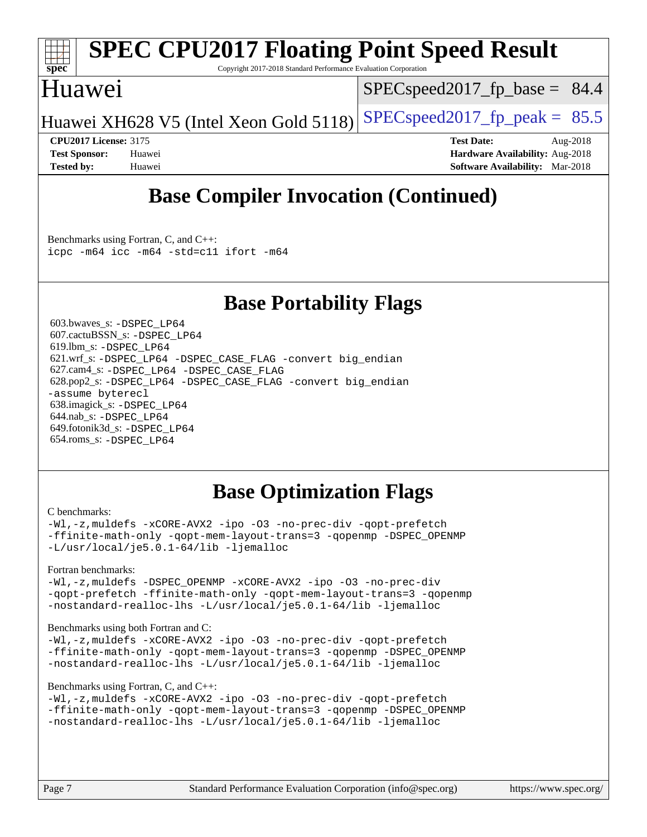

# **[SPEC CPU2017 Floating Point Speed Result](http://www.spec.org/auto/cpu2017/Docs/result-fields.html#SPECCPU2017FloatingPointSpeedResult)**

Copyright 2017-2018 Standard Performance Evaluation Corporation

### Huawei

 $SPECspeed2017_fp\_base = 84.4$ 

Huawei XH628 V5 (Intel Xeon Gold 5118) SPECspeed 2017 fp peak =  $85.5$ 

**[CPU2017 License:](http://www.spec.org/auto/cpu2017/Docs/result-fields.html#CPU2017License)** 3175 **[Test Date:](http://www.spec.org/auto/cpu2017/Docs/result-fields.html#TestDate)** Aug-2018 **[Test Sponsor:](http://www.spec.org/auto/cpu2017/Docs/result-fields.html#TestSponsor)** Huawei **[Hardware Availability:](http://www.spec.org/auto/cpu2017/Docs/result-fields.html#HardwareAvailability)** Aug-2018 **[Tested by:](http://www.spec.org/auto/cpu2017/Docs/result-fields.html#Testedby)** Huawei **[Software Availability:](http://www.spec.org/auto/cpu2017/Docs/result-fields.html#SoftwareAvailability)** Mar-2018

## **[Base Compiler Invocation \(Continued\)](http://www.spec.org/auto/cpu2017/Docs/result-fields.html#BaseCompilerInvocation)**

[Benchmarks using Fortran, C, and C++:](http://www.spec.org/auto/cpu2017/Docs/result-fields.html#BenchmarksusingFortranCandCXX) [icpc -m64](http://www.spec.org/cpu2017/results/res2018q4/cpu2017-20181008-09113.flags.html#user_CC_CXX_FCbase_intel_icpc_64bit_4ecb2543ae3f1412ef961e0650ca070fec7b7afdcd6ed48761b84423119d1bf6bdf5cad15b44d48e7256388bc77273b966e5eb805aefd121eb22e9299b2ec9d9) [icc -m64 -std=c11](http://www.spec.org/cpu2017/results/res2018q4/cpu2017-20181008-09113.flags.html#user_CC_CXX_FCbase_intel_icc_64bit_c11_33ee0cdaae7deeeab2a9725423ba97205ce30f63b9926c2519791662299b76a0318f32ddfffdc46587804de3178b4f9328c46fa7c2b0cd779d7a61945c91cd35) [ifort -m64](http://www.spec.org/cpu2017/results/res2018q4/cpu2017-20181008-09113.flags.html#user_CC_CXX_FCbase_intel_ifort_64bit_24f2bb282fbaeffd6157abe4f878425411749daecae9a33200eee2bee2fe76f3b89351d69a8130dd5949958ce389cf37ff59a95e7a40d588e8d3a57e0c3fd751)

### **[Base Portability Flags](http://www.spec.org/auto/cpu2017/Docs/result-fields.html#BasePortabilityFlags)**

 603.bwaves\_s: [-DSPEC\\_LP64](http://www.spec.org/cpu2017/results/res2018q4/cpu2017-20181008-09113.flags.html#suite_basePORTABILITY603_bwaves_s_DSPEC_LP64) 607.cactuBSSN\_s: [-DSPEC\\_LP64](http://www.spec.org/cpu2017/results/res2018q4/cpu2017-20181008-09113.flags.html#suite_basePORTABILITY607_cactuBSSN_s_DSPEC_LP64) 619.lbm\_s: [-DSPEC\\_LP64](http://www.spec.org/cpu2017/results/res2018q4/cpu2017-20181008-09113.flags.html#suite_basePORTABILITY619_lbm_s_DSPEC_LP64) 621.wrf\_s: [-DSPEC\\_LP64](http://www.spec.org/cpu2017/results/res2018q4/cpu2017-20181008-09113.flags.html#suite_basePORTABILITY621_wrf_s_DSPEC_LP64) [-DSPEC\\_CASE\\_FLAG](http://www.spec.org/cpu2017/results/res2018q4/cpu2017-20181008-09113.flags.html#b621.wrf_s_baseCPORTABILITY_DSPEC_CASE_FLAG) [-convert big\\_endian](http://www.spec.org/cpu2017/results/res2018q4/cpu2017-20181008-09113.flags.html#user_baseFPORTABILITY621_wrf_s_convert_big_endian_c3194028bc08c63ac5d04de18c48ce6d347e4e562e8892b8bdbdc0214820426deb8554edfa529a3fb25a586e65a3d812c835984020483e7e73212c4d31a38223) 627.cam4\_s: [-DSPEC\\_LP64](http://www.spec.org/cpu2017/results/res2018q4/cpu2017-20181008-09113.flags.html#suite_basePORTABILITY627_cam4_s_DSPEC_LP64) [-DSPEC\\_CASE\\_FLAG](http://www.spec.org/cpu2017/results/res2018q4/cpu2017-20181008-09113.flags.html#b627.cam4_s_baseCPORTABILITY_DSPEC_CASE_FLAG) 628.pop2\_s: [-DSPEC\\_LP64](http://www.spec.org/cpu2017/results/res2018q4/cpu2017-20181008-09113.flags.html#suite_basePORTABILITY628_pop2_s_DSPEC_LP64) [-DSPEC\\_CASE\\_FLAG](http://www.spec.org/cpu2017/results/res2018q4/cpu2017-20181008-09113.flags.html#b628.pop2_s_baseCPORTABILITY_DSPEC_CASE_FLAG) [-convert big\\_endian](http://www.spec.org/cpu2017/results/res2018q4/cpu2017-20181008-09113.flags.html#user_baseFPORTABILITY628_pop2_s_convert_big_endian_c3194028bc08c63ac5d04de18c48ce6d347e4e562e8892b8bdbdc0214820426deb8554edfa529a3fb25a586e65a3d812c835984020483e7e73212c4d31a38223) [-assume byterecl](http://www.spec.org/cpu2017/results/res2018q4/cpu2017-20181008-09113.flags.html#user_baseFPORTABILITY628_pop2_s_assume_byterecl_7e47d18b9513cf18525430bbf0f2177aa9bf368bc7a059c09b2c06a34b53bd3447c950d3f8d6c70e3faf3a05c8557d66a5798b567902e8849adc142926523472) 638.imagick\_s: [-DSPEC\\_LP64](http://www.spec.org/cpu2017/results/res2018q4/cpu2017-20181008-09113.flags.html#suite_basePORTABILITY638_imagick_s_DSPEC_LP64) 644.nab\_s: [-DSPEC\\_LP64](http://www.spec.org/cpu2017/results/res2018q4/cpu2017-20181008-09113.flags.html#suite_basePORTABILITY644_nab_s_DSPEC_LP64) 649.fotonik3d\_s: [-DSPEC\\_LP64](http://www.spec.org/cpu2017/results/res2018q4/cpu2017-20181008-09113.flags.html#suite_basePORTABILITY649_fotonik3d_s_DSPEC_LP64) 654.roms\_s: [-DSPEC\\_LP64](http://www.spec.org/cpu2017/results/res2018q4/cpu2017-20181008-09113.flags.html#suite_basePORTABILITY654_roms_s_DSPEC_LP64)

## **[Base Optimization Flags](http://www.spec.org/auto/cpu2017/Docs/result-fields.html#BaseOptimizationFlags)**

#### [C benchmarks](http://www.spec.org/auto/cpu2017/Docs/result-fields.html#Cbenchmarks):

[-Wl,-z,muldefs](http://www.spec.org/cpu2017/results/res2018q4/cpu2017-20181008-09113.flags.html#user_CCbase_link_force_multiple1_b4cbdb97b34bdee9ceefcfe54f4c8ea74255f0b02a4b23e853cdb0e18eb4525ac79b5a88067c842dd0ee6996c24547a27a4b99331201badda8798ef8a743f577) [-xCORE-AVX2](http://www.spec.org/cpu2017/results/res2018q4/cpu2017-20181008-09113.flags.html#user_CCbase_f-xCORE-AVX2) [-ipo](http://www.spec.org/cpu2017/results/res2018q4/cpu2017-20181008-09113.flags.html#user_CCbase_f-ipo) [-O3](http://www.spec.org/cpu2017/results/res2018q4/cpu2017-20181008-09113.flags.html#user_CCbase_f-O3) [-no-prec-div](http://www.spec.org/cpu2017/results/res2018q4/cpu2017-20181008-09113.flags.html#user_CCbase_f-no-prec-div) [-qopt-prefetch](http://www.spec.org/cpu2017/results/res2018q4/cpu2017-20181008-09113.flags.html#user_CCbase_f-qopt-prefetch) [-ffinite-math-only](http://www.spec.org/cpu2017/results/res2018q4/cpu2017-20181008-09113.flags.html#user_CCbase_f_finite_math_only_cb91587bd2077682c4b38af759c288ed7c732db004271a9512da14a4f8007909a5f1427ecbf1a0fb78ff2a814402c6114ac565ca162485bbcae155b5e4258871) [-qopt-mem-layout-trans=3](http://www.spec.org/cpu2017/results/res2018q4/cpu2017-20181008-09113.flags.html#user_CCbase_f-qopt-mem-layout-trans_de80db37974c74b1f0e20d883f0b675c88c3b01e9d123adea9b28688d64333345fb62bc4a798493513fdb68f60282f9a726aa07f478b2f7113531aecce732043) [-qopenmp](http://www.spec.org/cpu2017/results/res2018q4/cpu2017-20181008-09113.flags.html#user_CCbase_qopenmp_16be0c44f24f464004c6784a7acb94aca937f053568ce72f94b139a11c7c168634a55f6653758ddd83bcf7b8463e8028bb0b48b77bcddc6b78d5d95bb1df2967) [-DSPEC\\_OPENMP](http://www.spec.org/cpu2017/results/res2018q4/cpu2017-20181008-09113.flags.html#suite_CCbase_DSPEC_OPENMP) [-L/usr/local/je5.0.1-64/lib](http://www.spec.org/cpu2017/results/res2018q4/cpu2017-20181008-09113.flags.html#user_CCbase_jemalloc_link_path64_4b10a636b7bce113509b17f3bd0d6226c5fb2346b9178c2d0232c14f04ab830f976640479e5c33dc2bcbbdad86ecfb6634cbbd4418746f06f368b512fced5394) [-ljemalloc](http://www.spec.org/cpu2017/results/res2018q4/cpu2017-20181008-09113.flags.html#user_CCbase_jemalloc_link_lib_d1249b907c500fa1c0672f44f562e3d0f79738ae9e3c4a9c376d49f265a04b9c99b167ecedbf6711b3085be911c67ff61f150a17b3472be731631ba4d0471706)

### [Fortran benchmarks](http://www.spec.org/auto/cpu2017/Docs/result-fields.html#Fortranbenchmarks):

[-Wl,-z,muldefs](http://www.spec.org/cpu2017/results/res2018q4/cpu2017-20181008-09113.flags.html#user_FCbase_link_force_multiple1_b4cbdb97b34bdee9ceefcfe54f4c8ea74255f0b02a4b23e853cdb0e18eb4525ac79b5a88067c842dd0ee6996c24547a27a4b99331201badda8798ef8a743f577) -DSPEC OPENMP [-xCORE-AVX2](http://www.spec.org/cpu2017/results/res2018q4/cpu2017-20181008-09113.flags.html#user_FCbase_f-xCORE-AVX2) [-ipo](http://www.spec.org/cpu2017/results/res2018q4/cpu2017-20181008-09113.flags.html#user_FCbase_f-ipo) [-O3](http://www.spec.org/cpu2017/results/res2018q4/cpu2017-20181008-09113.flags.html#user_FCbase_f-O3) [-no-prec-div](http://www.spec.org/cpu2017/results/res2018q4/cpu2017-20181008-09113.flags.html#user_FCbase_f-no-prec-div) [-qopt-prefetch](http://www.spec.org/cpu2017/results/res2018q4/cpu2017-20181008-09113.flags.html#user_FCbase_f-qopt-prefetch) [-ffinite-math-only](http://www.spec.org/cpu2017/results/res2018q4/cpu2017-20181008-09113.flags.html#user_FCbase_f_finite_math_only_cb91587bd2077682c4b38af759c288ed7c732db004271a9512da14a4f8007909a5f1427ecbf1a0fb78ff2a814402c6114ac565ca162485bbcae155b5e4258871) [-qopt-mem-layout-trans=3](http://www.spec.org/cpu2017/results/res2018q4/cpu2017-20181008-09113.flags.html#user_FCbase_f-qopt-mem-layout-trans_de80db37974c74b1f0e20d883f0b675c88c3b01e9d123adea9b28688d64333345fb62bc4a798493513fdb68f60282f9a726aa07f478b2f7113531aecce732043) [-qopenmp](http://www.spec.org/cpu2017/results/res2018q4/cpu2017-20181008-09113.flags.html#user_FCbase_qopenmp_16be0c44f24f464004c6784a7acb94aca937f053568ce72f94b139a11c7c168634a55f6653758ddd83bcf7b8463e8028bb0b48b77bcddc6b78d5d95bb1df2967) [-nostandard-realloc-lhs](http://www.spec.org/cpu2017/results/res2018q4/cpu2017-20181008-09113.flags.html#user_FCbase_f_2003_std_realloc_82b4557e90729c0f113870c07e44d33d6f5a304b4f63d4c15d2d0f1fab99f5daaed73bdb9275d9ae411527f28b936061aa8b9c8f2d63842963b95c9dd6426b8a) [-L/usr/local/je5.0.1-64/lib](http://www.spec.org/cpu2017/results/res2018q4/cpu2017-20181008-09113.flags.html#user_FCbase_jemalloc_link_path64_4b10a636b7bce113509b17f3bd0d6226c5fb2346b9178c2d0232c14f04ab830f976640479e5c33dc2bcbbdad86ecfb6634cbbd4418746f06f368b512fced5394) [-ljemalloc](http://www.spec.org/cpu2017/results/res2018q4/cpu2017-20181008-09113.flags.html#user_FCbase_jemalloc_link_lib_d1249b907c500fa1c0672f44f562e3d0f79738ae9e3c4a9c376d49f265a04b9c99b167ecedbf6711b3085be911c67ff61f150a17b3472be731631ba4d0471706)

### [Benchmarks using both Fortran and C](http://www.spec.org/auto/cpu2017/Docs/result-fields.html#BenchmarksusingbothFortranandC):

[-Wl,-z,muldefs](http://www.spec.org/cpu2017/results/res2018q4/cpu2017-20181008-09113.flags.html#user_CC_FCbase_link_force_multiple1_b4cbdb97b34bdee9ceefcfe54f4c8ea74255f0b02a4b23e853cdb0e18eb4525ac79b5a88067c842dd0ee6996c24547a27a4b99331201badda8798ef8a743f577) [-xCORE-AVX2](http://www.spec.org/cpu2017/results/res2018q4/cpu2017-20181008-09113.flags.html#user_CC_FCbase_f-xCORE-AVX2) [-ipo](http://www.spec.org/cpu2017/results/res2018q4/cpu2017-20181008-09113.flags.html#user_CC_FCbase_f-ipo) [-O3](http://www.spec.org/cpu2017/results/res2018q4/cpu2017-20181008-09113.flags.html#user_CC_FCbase_f-O3) [-no-prec-div](http://www.spec.org/cpu2017/results/res2018q4/cpu2017-20181008-09113.flags.html#user_CC_FCbase_f-no-prec-div) [-qopt-prefetch](http://www.spec.org/cpu2017/results/res2018q4/cpu2017-20181008-09113.flags.html#user_CC_FCbase_f-qopt-prefetch) [-ffinite-math-only](http://www.spec.org/cpu2017/results/res2018q4/cpu2017-20181008-09113.flags.html#user_CC_FCbase_f_finite_math_only_cb91587bd2077682c4b38af759c288ed7c732db004271a9512da14a4f8007909a5f1427ecbf1a0fb78ff2a814402c6114ac565ca162485bbcae155b5e4258871) [-qopt-mem-layout-trans=3](http://www.spec.org/cpu2017/results/res2018q4/cpu2017-20181008-09113.flags.html#user_CC_FCbase_f-qopt-mem-layout-trans_de80db37974c74b1f0e20d883f0b675c88c3b01e9d123adea9b28688d64333345fb62bc4a798493513fdb68f60282f9a726aa07f478b2f7113531aecce732043) [-qopenmp](http://www.spec.org/cpu2017/results/res2018q4/cpu2017-20181008-09113.flags.html#user_CC_FCbase_qopenmp_16be0c44f24f464004c6784a7acb94aca937f053568ce72f94b139a11c7c168634a55f6653758ddd83bcf7b8463e8028bb0b48b77bcddc6b78d5d95bb1df2967) [-DSPEC\\_OPENMP](http://www.spec.org/cpu2017/results/res2018q4/cpu2017-20181008-09113.flags.html#suite_CC_FCbase_DSPEC_OPENMP) [-nostandard-realloc-lhs](http://www.spec.org/cpu2017/results/res2018q4/cpu2017-20181008-09113.flags.html#user_CC_FCbase_f_2003_std_realloc_82b4557e90729c0f113870c07e44d33d6f5a304b4f63d4c15d2d0f1fab99f5daaed73bdb9275d9ae411527f28b936061aa8b9c8f2d63842963b95c9dd6426b8a) [-L/usr/local/je5.0.1-64/lib](http://www.spec.org/cpu2017/results/res2018q4/cpu2017-20181008-09113.flags.html#user_CC_FCbase_jemalloc_link_path64_4b10a636b7bce113509b17f3bd0d6226c5fb2346b9178c2d0232c14f04ab830f976640479e5c33dc2bcbbdad86ecfb6634cbbd4418746f06f368b512fced5394) [-ljemalloc](http://www.spec.org/cpu2017/results/res2018q4/cpu2017-20181008-09113.flags.html#user_CC_FCbase_jemalloc_link_lib_d1249b907c500fa1c0672f44f562e3d0f79738ae9e3c4a9c376d49f265a04b9c99b167ecedbf6711b3085be911c67ff61f150a17b3472be731631ba4d0471706)

### [Benchmarks using Fortran, C, and C++:](http://www.spec.org/auto/cpu2017/Docs/result-fields.html#BenchmarksusingFortranCandCXX)

```
-Wl,-z,muldefs -xCORE-AVX2 -ipo -O3 -no-prec-div -qopt-prefetch
-ffinite-math-only -qopt-mem-layout-trans=3 -qopenmp -DSPEC_OPENMP
-nostandard-realloc-lhs -L/usr/local/je5.0.1-64/lib -ljemalloc
```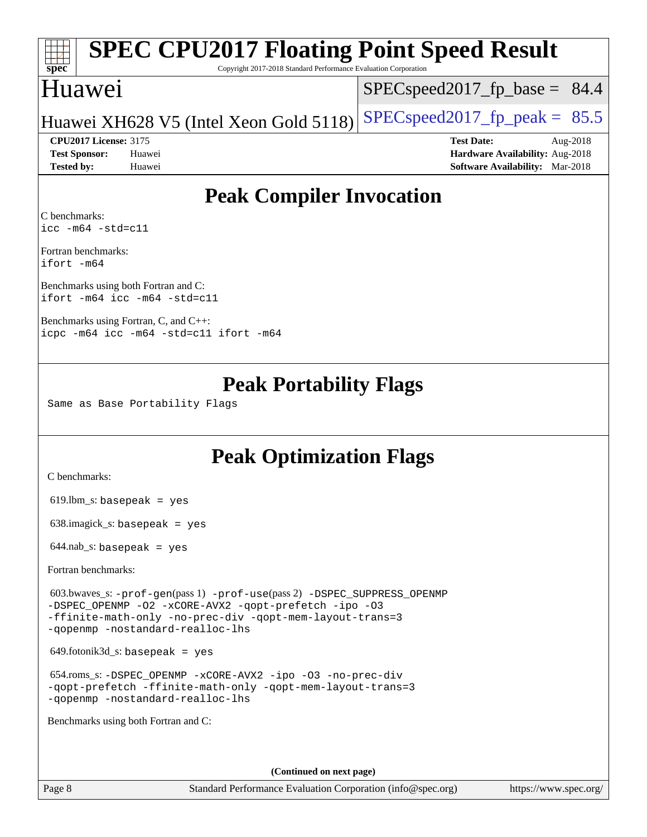# **[spec](http://www.spec.org/)**

# **[SPEC CPU2017 Floating Point Speed Result](http://www.spec.org/auto/cpu2017/Docs/result-fields.html#SPECCPU2017FloatingPointSpeedResult)**

Copyright 2017-2018 Standard Performance Evaluation Corporation

### Huawei

 $SPECspeed2017<sub>fp</sub> base = 84.4$ 

Huawei XH628 V5 (Intel Xeon Gold 5118) SPECspeed 2017 fp peak =  $85.5$ 

**[Tested by:](http://www.spec.org/auto/cpu2017/Docs/result-fields.html#Testedby)** Huawei **[Software Availability:](http://www.spec.org/auto/cpu2017/Docs/result-fields.html#SoftwareAvailability)** Mar-2018

**[CPU2017 License:](http://www.spec.org/auto/cpu2017/Docs/result-fields.html#CPU2017License)** 3175 **[Test Date:](http://www.spec.org/auto/cpu2017/Docs/result-fields.html#TestDate)** Aug-2018 **[Test Sponsor:](http://www.spec.org/auto/cpu2017/Docs/result-fields.html#TestSponsor)** Huawei **[Hardware Availability:](http://www.spec.org/auto/cpu2017/Docs/result-fields.html#HardwareAvailability)** Aug-2018

### **[Peak Compiler Invocation](http://www.spec.org/auto/cpu2017/Docs/result-fields.html#PeakCompilerInvocation)**

[C benchmarks](http://www.spec.org/auto/cpu2017/Docs/result-fields.html#Cbenchmarks): [icc -m64 -std=c11](http://www.spec.org/cpu2017/results/res2018q4/cpu2017-20181008-09113.flags.html#user_CCpeak_intel_icc_64bit_c11_33ee0cdaae7deeeab2a9725423ba97205ce30f63b9926c2519791662299b76a0318f32ddfffdc46587804de3178b4f9328c46fa7c2b0cd779d7a61945c91cd35)

[Fortran benchmarks:](http://www.spec.org/auto/cpu2017/Docs/result-fields.html#Fortranbenchmarks) [ifort -m64](http://www.spec.org/cpu2017/results/res2018q4/cpu2017-20181008-09113.flags.html#user_FCpeak_intel_ifort_64bit_24f2bb282fbaeffd6157abe4f878425411749daecae9a33200eee2bee2fe76f3b89351d69a8130dd5949958ce389cf37ff59a95e7a40d588e8d3a57e0c3fd751)

[Benchmarks using both Fortran and C](http://www.spec.org/auto/cpu2017/Docs/result-fields.html#BenchmarksusingbothFortranandC): [ifort -m64](http://www.spec.org/cpu2017/results/res2018q4/cpu2017-20181008-09113.flags.html#user_CC_FCpeak_intel_ifort_64bit_24f2bb282fbaeffd6157abe4f878425411749daecae9a33200eee2bee2fe76f3b89351d69a8130dd5949958ce389cf37ff59a95e7a40d588e8d3a57e0c3fd751) [icc -m64 -std=c11](http://www.spec.org/cpu2017/results/res2018q4/cpu2017-20181008-09113.flags.html#user_CC_FCpeak_intel_icc_64bit_c11_33ee0cdaae7deeeab2a9725423ba97205ce30f63b9926c2519791662299b76a0318f32ddfffdc46587804de3178b4f9328c46fa7c2b0cd779d7a61945c91cd35)

[Benchmarks using Fortran, C, and C++](http://www.spec.org/auto/cpu2017/Docs/result-fields.html#BenchmarksusingFortranCandCXX): [icpc -m64](http://www.spec.org/cpu2017/results/res2018q4/cpu2017-20181008-09113.flags.html#user_CC_CXX_FCpeak_intel_icpc_64bit_4ecb2543ae3f1412ef961e0650ca070fec7b7afdcd6ed48761b84423119d1bf6bdf5cad15b44d48e7256388bc77273b966e5eb805aefd121eb22e9299b2ec9d9) [icc -m64 -std=c11](http://www.spec.org/cpu2017/results/res2018q4/cpu2017-20181008-09113.flags.html#user_CC_CXX_FCpeak_intel_icc_64bit_c11_33ee0cdaae7deeeab2a9725423ba97205ce30f63b9926c2519791662299b76a0318f32ddfffdc46587804de3178b4f9328c46fa7c2b0cd779d7a61945c91cd35) [ifort -m64](http://www.spec.org/cpu2017/results/res2018q4/cpu2017-20181008-09113.flags.html#user_CC_CXX_FCpeak_intel_ifort_64bit_24f2bb282fbaeffd6157abe4f878425411749daecae9a33200eee2bee2fe76f3b89351d69a8130dd5949958ce389cf37ff59a95e7a40d588e8d3a57e0c3fd751)

### **[Peak Portability Flags](http://www.spec.org/auto/cpu2017/Docs/result-fields.html#PeakPortabilityFlags)**

Same as Base Portability Flags

### **[Peak Optimization Flags](http://www.spec.org/auto/cpu2017/Docs/result-fields.html#PeakOptimizationFlags)**

[C benchmarks](http://www.spec.org/auto/cpu2017/Docs/result-fields.html#Cbenchmarks):

619.lbm\_s: basepeak = yes

638.imagick\_s: basepeak = yes

 $644$ .nab\_s: basepeak = yes

[Fortran benchmarks](http://www.spec.org/auto/cpu2017/Docs/result-fields.html#Fortranbenchmarks):

 603.bwaves\_s: [-prof-gen](http://www.spec.org/cpu2017/results/res2018q4/cpu2017-20181008-09113.flags.html#user_peakPASS1_FFLAGSPASS1_LDFLAGS603_bwaves_s_prof_gen_5aa4926d6013ddb2a31985c654b3eb18169fc0c6952a63635c234f711e6e63dd76e94ad52365559451ec499a2cdb89e4dc58ba4c67ef54ca681ffbe1461d6b36)(pass 1) [-prof-use](http://www.spec.org/cpu2017/results/res2018q4/cpu2017-20181008-09113.flags.html#user_peakPASS2_FFLAGSPASS2_LDFLAGS603_bwaves_s_prof_use_1a21ceae95f36a2b53c25747139a6c16ca95bd9def2a207b4f0849963b97e94f5260e30a0c64f4bb623698870e679ca08317ef8150905d41bd88c6f78df73f19)(pass 2) [-DSPEC\\_SUPPRESS\\_OPENMP](http://www.spec.org/cpu2017/results/res2018q4/cpu2017-20181008-09113.flags.html#suite_peakPASS1_FOPTIMIZE603_bwaves_s_DSPEC_SUPPRESS_OPENMP) [-DSPEC\\_OPENMP](http://www.spec.org/cpu2017/results/res2018q4/cpu2017-20181008-09113.flags.html#suite_peakPASS2_FOPTIMIZE603_bwaves_s_DSPEC_OPENMP) [-O2](http://www.spec.org/cpu2017/results/res2018q4/cpu2017-20181008-09113.flags.html#user_peakPASS1_FOPTIMIZE603_bwaves_s_f-O2) [-xCORE-AVX2](http://www.spec.org/cpu2017/results/res2018q4/cpu2017-20181008-09113.flags.html#user_peakPASS2_FOPTIMIZE603_bwaves_s_f-xCORE-AVX2) [-qopt-prefetch](http://www.spec.org/cpu2017/results/res2018q4/cpu2017-20181008-09113.flags.html#user_peakPASS1_FOPTIMIZEPASS2_FOPTIMIZE603_bwaves_s_f-qopt-prefetch) [-ipo](http://www.spec.org/cpu2017/results/res2018q4/cpu2017-20181008-09113.flags.html#user_peakPASS2_FOPTIMIZE603_bwaves_s_f-ipo) [-O3](http://www.spec.org/cpu2017/results/res2018q4/cpu2017-20181008-09113.flags.html#user_peakPASS2_FOPTIMIZE603_bwaves_s_f-O3) [-ffinite-math-only](http://www.spec.org/cpu2017/results/res2018q4/cpu2017-20181008-09113.flags.html#user_peakPASS1_FOPTIMIZEPASS2_FOPTIMIZE603_bwaves_s_f_finite_math_only_cb91587bd2077682c4b38af759c288ed7c732db004271a9512da14a4f8007909a5f1427ecbf1a0fb78ff2a814402c6114ac565ca162485bbcae155b5e4258871) [-no-prec-div](http://www.spec.org/cpu2017/results/res2018q4/cpu2017-20181008-09113.flags.html#user_peakPASS2_FOPTIMIZE603_bwaves_s_f-no-prec-div) [-qopt-mem-layout-trans=3](http://www.spec.org/cpu2017/results/res2018q4/cpu2017-20181008-09113.flags.html#user_peakPASS1_FOPTIMIZEPASS2_FOPTIMIZE603_bwaves_s_f-qopt-mem-layout-trans_de80db37974c74b1f0e20d883f0b675c88c3b01e9d123adea9b28688d64333345fb62bc4a798493513fdb68f60282f9a726aa07f478b2f7113531aecce732043) [-qopenmp](http://www.spec.org/cpu2017/results/res2018q4/cpu2017-20181008-09113.flags.html#user_peakPASS2_FOPTIMIZE603_bwaves_s_qopenmp_16be0c44f24f464004c6784a7acb94aca937f053568ce72f94b139a11c7c168634a55f6653758ddd83bcf7b8463e8028bb0b48b77bcddc6b78d5d95bb1df2967) [-nostandard-realloc-lhs](http://www.spec.org/cpu2017/results/res2018q4/cpu2017-20181008-09113.flags.html#user_peakEXTRA_FOPTIMIZE603_bwaves_s_f_2003_std_realloc_82b4557e90729c0f113870c07e44d33d6f5a304b4f63d4c15d2d0f1fab99f5daaed73bdb9275d9ae411527f28b936061aa8b9c8f2d63842963b95c9dd6426b8a)

 $649.$ fotonik $3d$ <sub>-</sub>s: basepeak = yes

 654.roms\_s: [-DSPEC\\_OPENMP](http://www.spec.org/cpu2017/results/res2018q4/cpu2017-20181008-09113.flags.html#suite_peakFOPTIMIZE654_roms_s_DSPEC_OPENMP) [-xCORE-AVX2](http://www.spec.org/cpu2017/results/res2018q4/cpu2017-20181008-09113.flags.html#user_peakFOPTIMIZE654_roms_s_f-xCORE-AVX2) [-ipo](http://www.spec.org/cpu2017/results/res2018q4/cpu2017-20181008-09113.flags.html#user_peakFOPTIMIZE654_roms_s_f-ipo) [-O3](http://www.spec.org/cpu2017/results/res2018q4/cpu2017-20181008-09113.flags.html#user_peakFOPTIMIZE654_roms_s_f-O3) [-no-prec-div](http://www.spec.org/cpu2017/results/res2018q4/cpu2017-20181008-09113.flags.html#user_peakFOPTIMIZE654_roms_s_f-no-prec-div) [-qopt-prefetch](http://www.spec.org/cpu2017/results/res2018q4/cpu2017-20181008-09113.flags.html#user_peakFOPTIMIZE654_roms_s_f-qopt-prefetch) [-ffinite-math-only](http://www.spec.org/cpu2017/results/res2018q4/cpu2017-20181008-09113.flags.html#user_peakFOPTIMIZE654_roms_s_f_finite_math_only_cb91587bd2077682c4b38af759c288ed7c732db004271a9512da14a4f8007909a5f1427ecbf1a0fb78ff2a814402c6114ac565ca162485bbcae155b5e4258871) [-qopt-mem-layout-trans=3](http://www.spec.org/cpu2017/results/res2018q4/cpu2017-20181008-09113.flags.html#user_peakFOPTIMIZE654_roms_s_f-qopt-mem-layout-trans_de80db37974c74b1f0e20d883f0b675c88c3b01e9d123adea9b28688d64333345fb62bc4a798493513fdb68f60282f9a726aa07f478b2f7113531aecce732043) [-qopenmp](http://www.spec.org/cpu2017/results/res2018q4/cpu2017-20181008-09113.flags.html#user_peakFOPTIMIZE654_roms_s_qopenmp_16be0c44f24f464004c6784a7acb94aca937f053568ce72f94b139a11c7c168634a55f6653758ddd83bcf7b8463e8028bb0b48b77bcddc6b78d5d95bb1df2967) [-nostandard-realloc-lhs](http://www.spec.org/cpu2017/results/res2018q4/cpu2017-20181008-09113.flags.html#user_peakEXTRA_FOPTIMIZE654_roms_s_f_2003_std_realloc_82b4557e90729c0f113870c07e44d33d6f5a304b4f63d4c15d2d0f1fab99f5daaed73bdb9275d9ae411527f28b936061aa8b9c8f2d63842963b95c9dd6426b8a)

[Benchmarks using both Fortran and C](http://www.spec.org/auto/cpu2017/Docs/result-fields.html#BenchmarksusingbothFortranandC):

**(Continued on next page)**